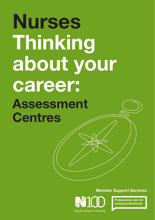# **Nurses Thinking about your career: Assessment Centres**

**Member Support Services**



**Professional care for caring professionals**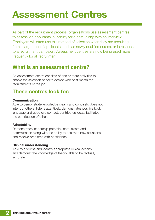# **Assessment Centres**

As part of the recruitment process, organisations use assessment centres to assess job applicants' suitability for a post, along with an interview. Employers will often use this method of selection when they are recruiting from a large pool of applicants, such as newly qualified nurses, or in response to a recruitment campaign. Assessment centres are now being used more frequently for all recruitment.

## **What is an assessment centre?**

An assessment centre consists of one or more activities to enable the selection panel to decide who best meets the requirements of the job.

# **These centres look for:**

#### **Communication**

Able to demonstrate knowledge clearly and concisely, does not interrupt others, listens attentively, demonstrates positive body language and good eye contact, contributes ideas, facilitates the contribution of others.

#### **Adaptability**

Demonstrates leadership potential, enthusiasm and determination along with the ability to deal with new situations and resolve problems with confidence.

#### **Clinical understanding**

Able to prioritise and identify appropriate clinical actions and demonstrate knowledge of theory, able to be factually accurate.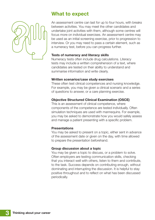

## **What to expect**

An assessment centre can last for up to four hours, with breaks between activities. You may meet the other candidates and undertake joint activities with them, although some centres will focus more on individual exercises. An assessment centre may be used as an initial screening exercise, prior to progression to interview. Or you may need to pass a certain element, such as a numeracy test, before you can progress further.

#### **Tests of numeracy and literacy skills**

Numeracy tests often include drug calculations. Literacy tests may include a written comprehension of a text, where candidates are tested on their ability to understand and summarise information and write clearly.

#### **Written scenarios/case study exercises**

These often test clinical competences and nursing knowledge. For example, you may be given a clinical scenario and a series of questions to answer, or a care planning exercise.

#### **Objective Structured Clinical Examination (OSCE)**

This is an assessment of clinical competence, where components of the competence are tested individually. Often simulation techniques are used with mannequins. For example, you may be asked to demonstrate how you would safely assess and manage a patient presenting with a specific problem.

#### **Presentations**

You may be asked to present on a topic, either sent in advance of the assessment date or given on the day, with time allowed to prepare the presentation beforehand.

#### **Group discussion about a topic**

You may be given a topic to discuss, or a problem to solve. Often employers are testing communication skills, checking that you interact well with others, listen to them and contribute, to the task. Success depends on contributing enough, without dominating and interrupting the discussion. It is helpful to stay positive throughout and to reflect on what has been discussed periodically.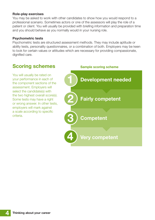#### **Role-play exercises**

You may be asked to work with other candidates to show how you would respond to a professional scenario. Sometimes actors or one of the assessors will play the role of a patient or client. You will usually be provided with briefing information and preparation time and you should behave as you normally would in your nursing role.

#### **Psychometric tests**

Psychometric tests are structured assessment methods. They may include aptitude or ability tests, personality questionnaires, or a combination of both. Employers may be keen to look for certain values or attitudes which are necessary for providing compassionate, dignified care.

# **Scoring schemes**

You will usually be rated on your performance in each of the component sections of the assessment. Employers will select the candidate(s) with the two highest overall score(s). Some tests may have a right or wrong answer. In other tests, employers will mark against a scale according to specific criteria.

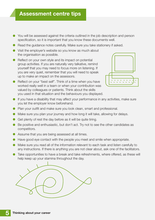### **Assessment centre tips**

- You will be assessed against the criteria outlined in the job description and person specification, so it is important that you know these documents well.
- **•** Read the guidance notes carefully. Make sure you take stationery if asked.
- **•** Visit the employer's website so you know as much about the organisation as possible.
- **•** Reflect on your own style and its impact on potential group activities. If you are naturally very talkative, remind yourself that you may need to focus more on listening. If you are very quiet, remember that you will need to speak up to make an impact on the assessors.
- **•** Reflect on your "best self". Think of a time when you have worked really well in a team or when your contribution was valued by colleagues or patients. Think about the skills you used in that situation and the behaviours you displayed.



- **•** If you have a disability that may affect your performance in any activities, make sure you let the employer know beforehand.
- **•** Plan your outfit and make sure you look clean, smart and professional.
- **•** Make sure you plan your journey and how long it will take, allowing for delays.
- **•** Get plenty of rest the day before as it will be quite tiring.
- **•** Be positive and enthusiastic, but don't act. Try not to see the other candidates as competitors.
- **•** Assume that you are being assessed at all times.
- **•** Have good eye contact with the people you meet and smile when appropriate.
- **•** Make sure you read all of the information relevant to each task and listen carefully to any instructions. If there is anything you are not clear about, ask one of the facilitators.
- **•** Take opportunities to have a break and take refreshments, where offered, as these will help keep up your stamina throughout the day.

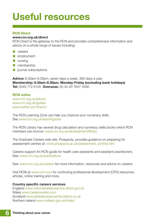# **Useful resources**

#### **RCN Direct**

#### **www.rcn.org.uk/direct**

RCN Direct is the gateway to the RCN and provides comprehensive information and advice on a whole range of issues including:

- **•** careers
- **•** employment
- **•** nursing
- **•** membership
- **•** journal subscriptions.

**Advice:** 8.30am-8.30pm, seven days a week, 365 days a year **Membership: 8.30am-8.30pm, Monday-Friday (excluding bank holidays) Tel:** 0345 772 6100 **Overseas:** 00 44 20 7647 3456

#### **RCN online**

www.rcn.org.uk/advice www.rcn.org.uk/guides www.twitter.com/thercn

The RCN Learning Zone can help you improve your numeracy skills. See www.rcn.org.uk/learningzone

The RCN Library has several drug calculation and numeracy skills books which RCN members can borrow: www.rcn.org.uk/development/library

The Graduate Careers web site, Prospects, provides guidance on preparing for assessment centres at: www.prospects.ac.uk/assessment\_centres.htm

Careers support An RCN guide for health care assistants and assistant practitioners. See: www.rcn.org.uk/publications

See: www.rcn.org.uk/careers for more information, resources and advice on careers.

Visit RCNi at www.rcni.com for continuing professional development (CPD) resources, articles, online training and more.

#### **Country specific careers services**

England www.nationalcareersservice.direct.gov.uk Wales www.careerswales.com Scotland www.skillsdevelopmentscotland.co.uk Northern Ireland www.nidirect.gov.uk/index/